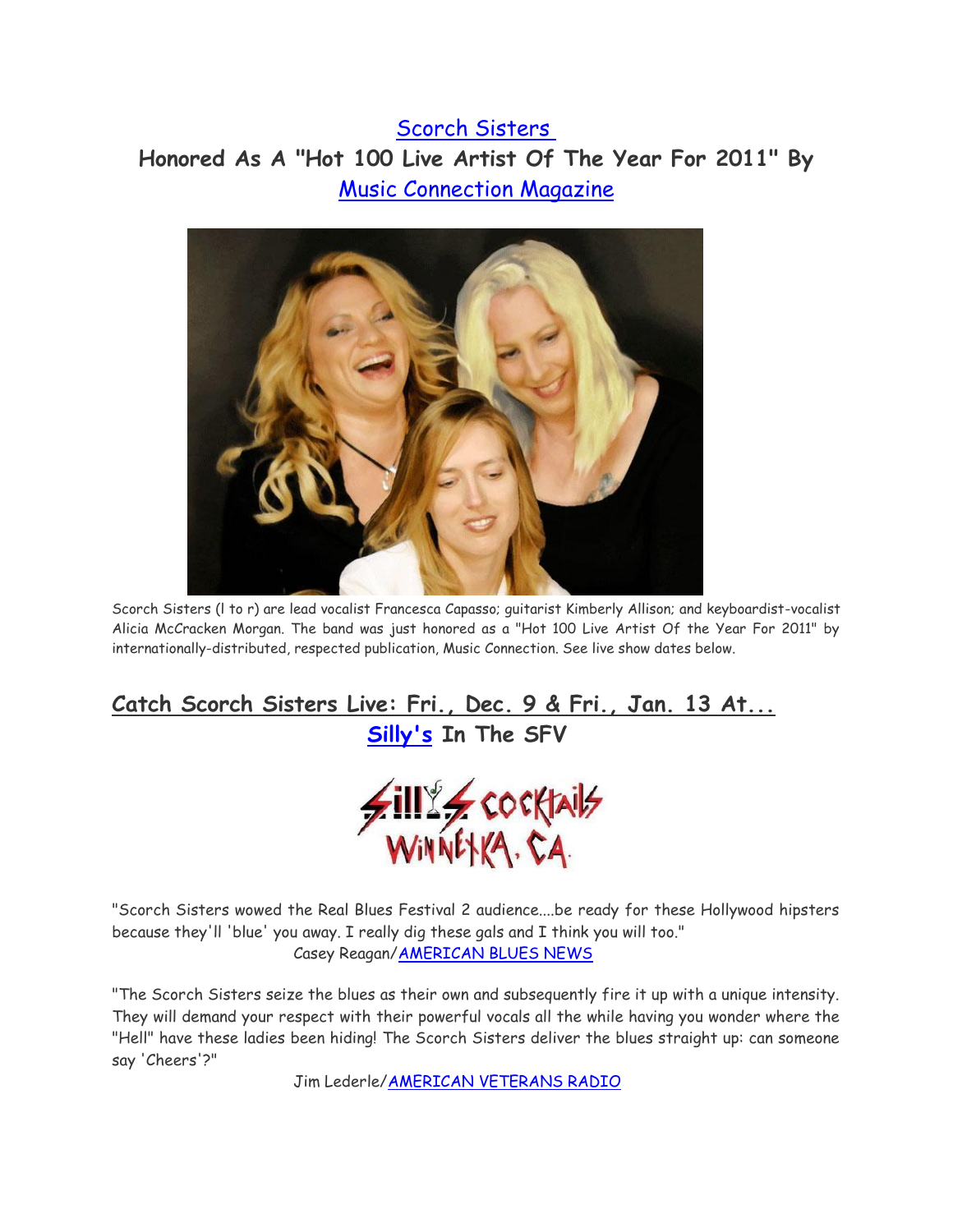## [Scorch Sisters](http://www.thescorchsisters.com/) **Honored As A "Hot 100 Live Artist Of The Year For 2011" By**

[Music Connection Magazine](http://www.musicconnection.com/digital)



Scorch Sisters (l to r) are lead vocalist Francesca Capasso; guitarist Kimberly Allison; and keyboardist-vocalist Alicia McCracken Morgan. The band was just honored as a "Hot 100 Live Artist Of the Year For 2011" by internationally-distributed, respected publication, Music Connection. See live show dates below.

## **Catch Scorch Sisters Live: Fri., Dec. 9 & Fri., Jan. 13 At... [Silly's](http://www.sillyscocktails.net/) In The SFV**



"Scorch Sisters wowed the Real Blues Festival 2 audience....be ready for these Hollywood hipsters because they'll 'blue' you away. I really dig these gals and I think you will too." Casey Reagan[/AMERICAN BLUES NEWS](http://www.ameriblues.com/)

"The Scorch Sisters seize the blues as their own and subsequently fire it up with a unique intensity. They will demand your respect with their powerful vocals all the while having you wonder where the "Hell" have these ladies been hiding! The Scorch Sisters deliver the blues straight up: can someone say 'Cheers'?"

Jim Lederle[/AMERICAN VETERANS RADIO](http://www.avradio.org/)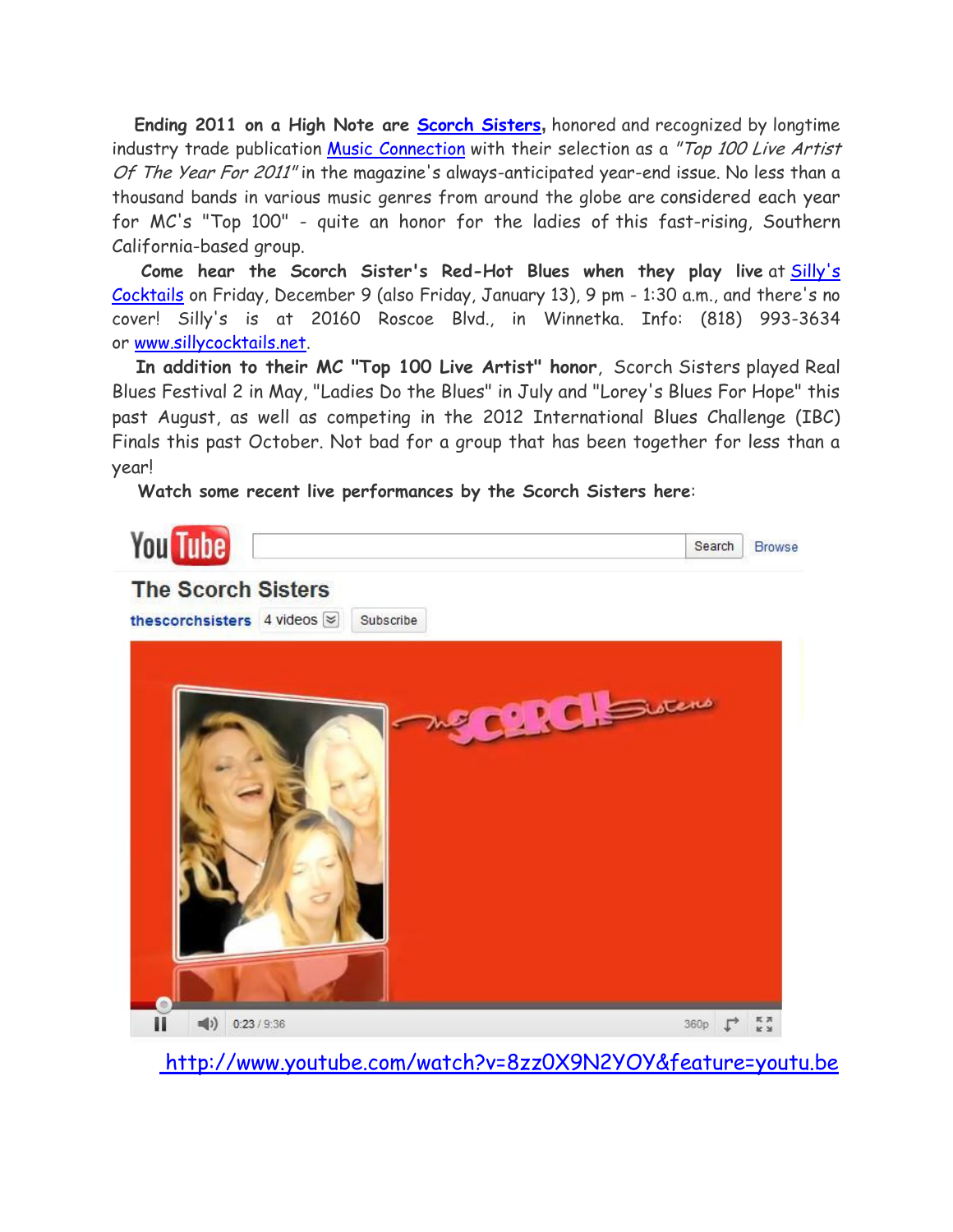**Ending 2011 on a High Note are [Scorch Sisters](http://www.thescorchsisters.com/),** honored and recognized by longtime industry trade publication [Music Connection](http://www.musicconnection.com/digital) with their selection as a "Top 100 Live Artist Of The Year For 2011" in the magazine's always-anticipated year-end issue. No less than a thousand bands in various music genres from around the globe are considered each year for MC's "Top 100" - quite an honor for the ladies of this fast-rising, Southern California-based group.

**Come hear the Scorch Sister's Red-Hot Blues when they play live** at [Silly's](http://www.sillyscocktails.net/)  [Cocktails](http://www.sillyscocktails.net/) on Friday, December 9 (also Friday, January 13), 9 pm - 1:30 a.m., and there's no cover! Silly's is at 20160 Roscoe Blvd., in Winnetka. Info: (818) 993-3634 or [www.sillycocktails.net.](http://www.sillyscocktails.net/)

**In addition to their MC "Top 100 Live Artist" honor**, Scorch Sisters played Real Blues Festival 2 in May, "Ladies Do the Blues" in July and "Lorey's Blues For Hope" this past August, as well as competing in the 2012 International Blues Challenge (IBC) Finals this past October. Not bad for a group that has been together for less than a year!

**Watch some recent live performances by the Scorch Sisters here**:



[http://www.youtube.com/watch?v=8zz0X9N2YOY&feature=youtu.be](http://www.youtube.com/watch?v=8zzOX9N2YOY&feature=youtu.be)